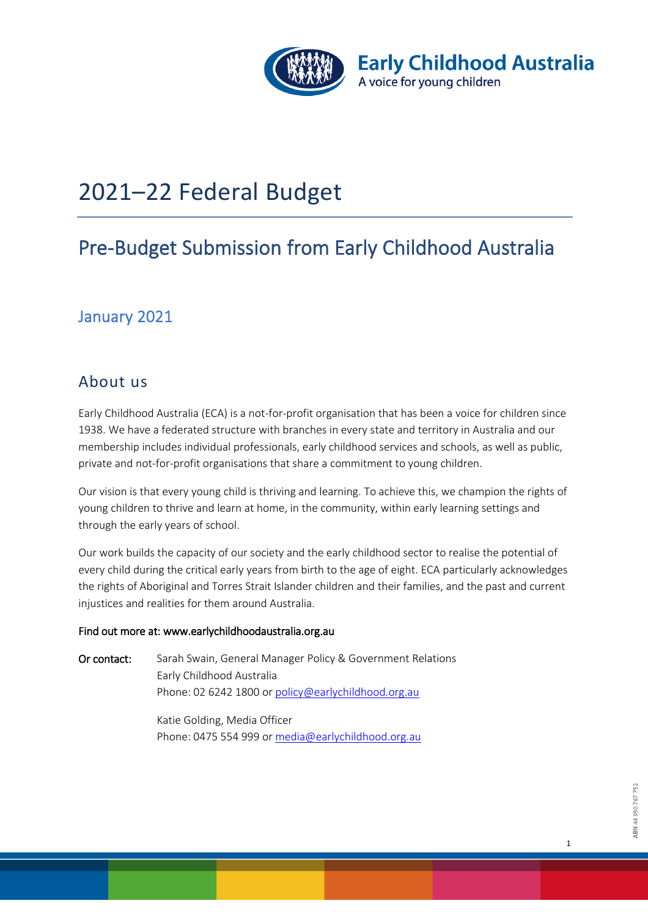

# 2021–22 Federal Budget

# Pre-Budget Submission from Early Childhood Australia

## January 2021

## About us

Early Childhood Australia (ECA) is a not-for-profit organisation that has been a voice for children since 1938. We have a federated structure with branches in every state and territory in Australia and our membership includes individual professionals, early childhood services and schools, as well as public, private and not-for-profit organisations that share a commitment to young children.

Our vision is that every young child is thriving and learning. To achieve this, we champion the rights of young children to thrive and learn at home, in the community, within early learning settings and through the early years of school.

Our work builds the capacity of our society and the early childhood sector to realise the potential of every child during the critical early years from birth to the age of eight. ECA particularly acknowledges the rights of Aboriginal and Torres Strait Islander children and their families, and the past and current injustices and realities for them around Australia.

#### Find out more at: www.earlychildhoodaustralia.org.au

Or contact: Sarah Swain, General Manager Policy & Government Relations Early Childhood Australia Phone: 02 6242 1800 or [policy@earlychildhood.org.au](mailto:policy@earlychildhood.org.au)

> Katie Golding, Media Officer Phone: 0475 554 999 or [media@earlychildhood.org.au](mailto:media@earlychildhood.org.au)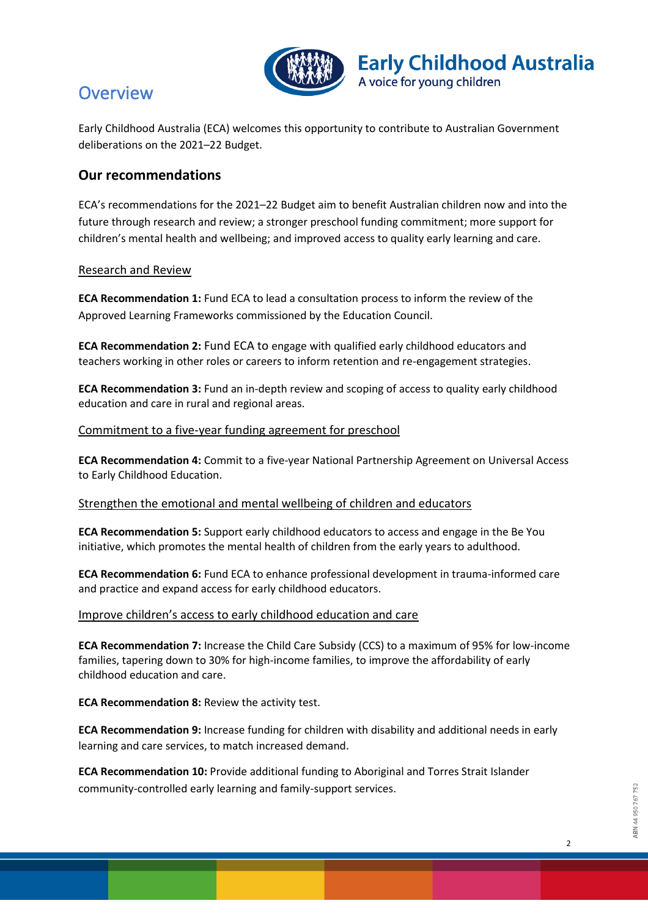

## **Overview**

Early Childhood Australia (ECA) welcomes this opportunity to contribute to Australian Government deliberations on the 2021–22 Budget.

**Early Childhood Australia** 

A voice for young children

### **Our recommendations**

ECA's recommendations for the 2021–22 Budget aim to benefit Australian children now and into the future through research and review; a stronger preschool funding commitment; more support for children's mental health and wellbeing; and improved access to quality early learning and care.

#### Research and Review

**ECA Recommendation 1:** Fund ECA to lead a consultation process to inform the review of the Approved Learning Frameworks commissioned by the Education Council.

**ECA Recommendation 2:** Fund ECA to engage with qualified early childhood educators and teachers working in other roles or careers to inform retention and re-engagement strategies.

**ECA Recommendation 3:** Fund an in-depth review and scoping of access to quality early childhood education and care in rural and regional areas.

#### Commitment to a five-year funding agreement for preschool

**ECA Recommendation 4:** Commit to a five-year National Partnership Agreement on Universal Access to Early Childhood Education.

#### Strengthen the emotional and mental wellbeing of children and educators

**ECA Recommendation 5:** Support early childhood educators to access and engage in the Be You initiative, which promotes the mental health of children from the early years to adulthood.

**ECA Recommendation 6:** Fund ECA to enhance professional development in trauma-informed care and practice and expand access for early childhood educators.

#### Improve children's access to early childhood education and care

**ECA Recommendation 7:** Increase the Child Care Subsidy (CCS) to a maximum of 95% for low-income families, tapering down to 30% for high-income families, to improve the affordability of early childhood education and care.

**ECA Recommendation 8: Review the activity test.** 

**ECA Recommendation 9:** Increase funding for children with disability and additional needs in early learning and care services, to match increased demand.

**ECA Recommendation 10:** Provide additional funding to Aboriginal and Torres Strait Islander community-controlled early learning and family-support services.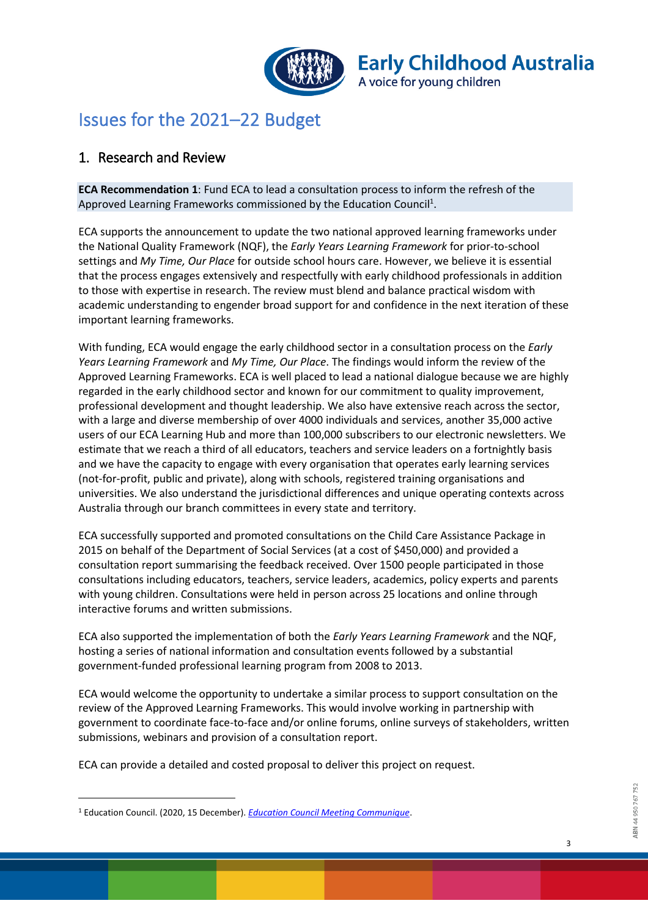

## Issues for the 2021–22 Budget

## 1. Research and Review

**ECA Recommendation 1**: Fund ECA to lead a consultation process to inform the refresh of the Approved Learning Frameworks commissioned by the Education Council<sup>1</sup>.

ECA supports the announcement to update the two national approved learning frameworks under the National Quality Framework (NQF), the *Early Years Learning Framework* for prior-to-school settings and *My Time, Our Place* for outside school hours care. However, we believe it is essential that the process engages extensively and respectfully with early childhood professionals in addition to those with expertise in research. The review must blend and balance practical wisdom with academic understanding to engender broad support for and confidence in the next iteration of these important learning frameworks.

With funding, ECA would engage the early childhood sector in a consultation process on the *Early Years Learning Framework* and *My Time, Our Place*. The findings would inform the review of the Approved Learning Frameworks. ECA is well placed to lead a national dialogue because we are highly regarded in the early childhood sector and known for our commitment to quality improvement, professional development and thought leadership. We also have extensive reach across the sector, with a large and diverse membership of over 4000 individuals and services, another 35,000 active users of our ECA Learning Hub and more than 100,000 subscribers to our electronic newsletters. We estimate that we reach a third of all educators, teachers and service leaders on a fortnightly basis and we have the capacity to engage with every organisation that operates early learning services (not-for-profit, public and private), along with schools, registered training organisations and universities. We also understand the jurisdictional differences and unique operating contexts across Australia through our branch committees in every state and territory.

ECA successfully supported and promoted consultations on the Child Care Assistance Package in 2015 on behalf of the Department of Social Services (at a cost of \$450,000) and provided a consultation report summarising the feedback received. Over 1500 people participated in those consultations including educators, teachers, service leaders, academics, policy experts and parents with young children. Consultations were held in person across 25 locations and online through interactive forums and written submissions.

ECA also supported the implementation of both the *Early Years Learning Framework* and the NQF, hosting a series of national information and consultation events followed by a substantial government-funded professional learning program from 2008 to 2013.

ECA would welcome the opportunity to undertake a similar process to support consultation on the review of the Approved Learning Frameworks. This would involve working in partnership with government to coordinate face-to-face and/or online forums, online surveys of stakeholders, written submissions, webinars and provision of a consultation report.

ECA can provide a detailed and costed proposal to deliver this project on request.

 $\overline{a}$ 

<sup>1</sup> Education Council. (2020, 15 December). *[Education Council Meeting Communique](http://www.educationcouncil.edu.au/site/DefaultSite/filesystem/documents/Communiques%20and%20Media%20Releases/2020%20Communiques/Education%20Council%20Meeting%20Communique%20-%2011%20December%202020%20.pdf)*.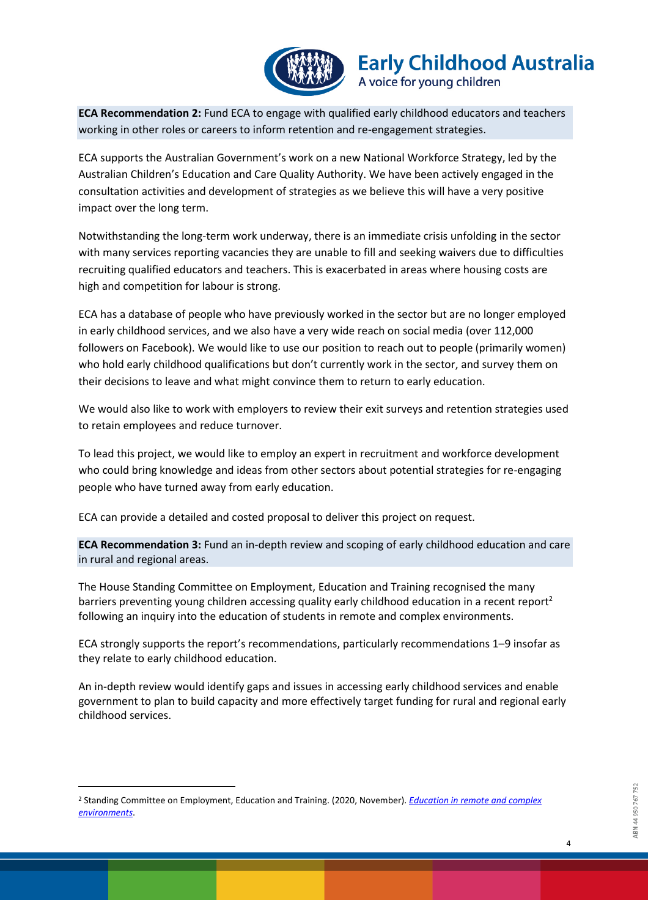

**ECA Recommendation 2:** Fund ECA to engage with qualified early childhood educators and teachers working in other roles or careers to inform retention and re-engagement strategies.

ECA supports the Australian Government's work on a new National Workforce Strategy, led by the Australian Children's Education and Care Quality Authority. We have been actively engaged in the consultation activities and development of strategies as we believe this will have a very positive impact over the long term.

Notwithstanding the long-term work underway, there is an immediate crisis unfolding in the sector with many services reporting vacancies they are unable to fill and seeking waivers due to difficulties recruiting qualified educators and teachers. This is exacerbated in areas where housing costs are high and competition for labour is strong.

ECA has a database of people who have previously worked in the sector but are no longer employed in early childhood services, and we also have a very wide reach on social media (over 112,000 followers on Facebook). We would like to use our position to reach out to people (primarily women) who hold early childhood qualifications but don't currently work in the sector, and survey them on their decisions to leave and what might convince them to return to early education.

We would also like to work with employers to review their exit surveys and retention strategies used to retain employees and reduce turnover.

To lead this project, we would like to employ an expert in recruitment and workforce development who could bring knowledge and ideas from other sectors about potential strategies for re-engaging people who have turned away from early education.

ECA can provide a detailed and costed proposal to deliver this project on request.

**ECA Recommendation 3:** Fund an in-depth review and scoping of early childhood education and care in rural and regional areas.

The House Standing Committee on Employment, Education and Training recognised the many barriers preventing young children accessing quality early childhood education in a recent report<sup>2</sup> following an inquiry into the education of students in remote and complex environments.

ECA strongly supports the report's recommendations, particularly recommendations 1–9 insofar as they relate to early childhood education.

An in-depth review would identify gaps and issues in accessing early childhood services and enable government to plan to build capacity and more effectively target funding for rural and regional early childhood services.

<sup>2</sup> Standing Committee on Employment, Education and Training. (2020, November). *[Education in remote and complex](https://www.aph.gov.au/Parliamentary_Business/Committees/House/Employment_Education_and_Training/RemoteEducation/Report)  [environments](https://www.aph.gov.au/Parliamentary_Business/Committees/House/Employment_Education_and_Training/RemoteEducation/Report)*.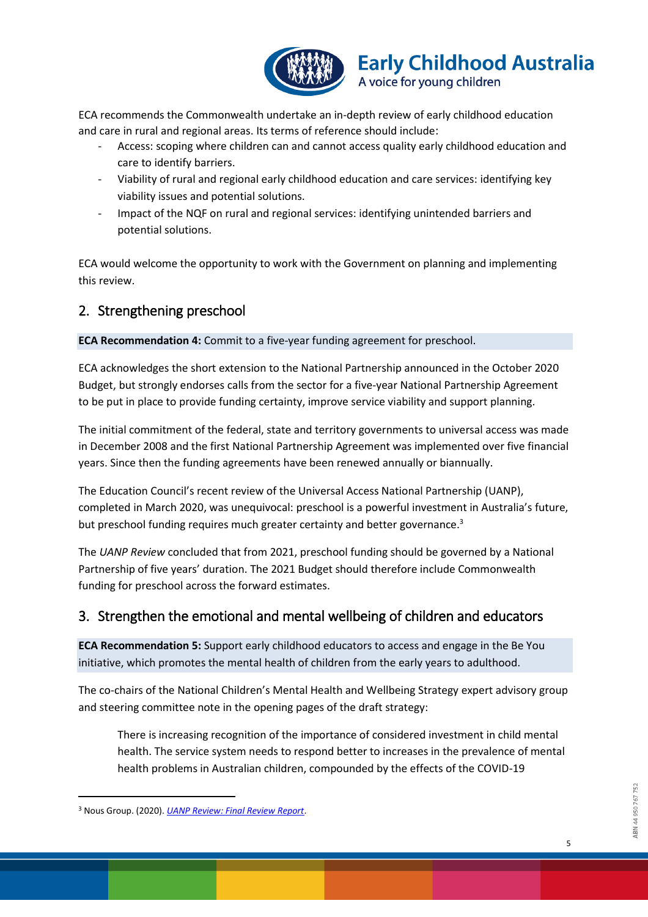

ECA recommends the Commonwealth undertake an in-depth review of early childhood education and care in rural and regional areas. Its terms of reference should include:

- Access: scoping where children can and cannot access quality early childhood education and care to identify barriers.
- Viability of rural and regional early childhood education and care services: identifying key viability issues and potential solutions.
- Impact of the NQF on rural and regional services: identifying unintended barriers and potential solutions.

ECA would welcome the opportunity to work with the Government on planning and implementing this review.

## 2. Strengthening preschool

**ECA Recommendation 4:** Commit to a five-year funding agreement for preschool.

ECA acknowledges the short extension to the National Partnership announced in the October 2020 Budget, but strongly endorses calls from the sector for a five-year National Partnership Agreement to be put in place to provide funding certainty, improve service viability and support planning.

The initial commitment of the federal, state and territory governments to universal access was made in December 2008 and the first National Partnership Agreement was implemented over five financial years. Since then the funding agreements have been renewed annually or biannually.

The Education Council's recent review of the Universal Access National Partnership (UANP), completed in March 2020, was unequivocal: preschool is a powerful investment in Australia's future, but preschool funding requires much greater certainty and better governance.<sup>3</sup>

The *UANP Review* concluded that from 2021, preschool funding should be governed by a National Partnership of five years' duration. The 2021 Budget should therefore include Commonwealth funding for preschool across the forward estimates.

## 3. Strengthen the emotional and mental wellbeing of children and educators

**ECA Recommendation 5:** Support early childhood educators to access and engage in the Be You initiative, which promotes the mental health of children from the early years to adulthood.

The co-chairs of the National Children's Mental Health and Wellbeing Strategy expert advisory group and steering committee note in the opening pages of the draft strategy:

There is increasing recognition of the importance of considered investment in child mental health. The service system needs to respond better to increases in the prevalence of mental health problems in Australian children, compounded by the effects of the COVID-19

<sup>3</sup> Nous Group. (2020). *[UANP Review: Final Review Report](http://www.educationcouncil.edu.au/site/DefaultSite/filesystem/documents/Reports%20and%20publications/UANP%20Review%20Report.pdf)*.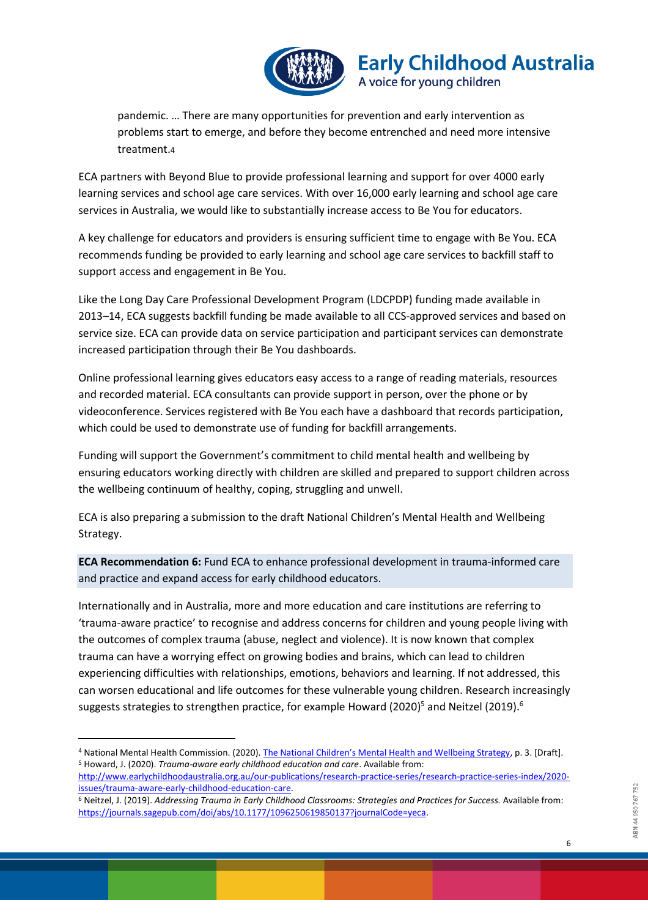

pandemic. … There are many opportunities for prevention and early intervention as problems start to emerge, and before they become entrenched and need more intensive treatment.4

ECA partners with Beyond Blue to provide professional learning and support for over 4000 early learning services and school age care services. With over 16,000 early learning and school age care services in Australia, we would like to substantially increase access to Be You for educators.

A key challenge for educators and providers is ensuring sufficient time to engage with Be You. ECA recommends funding be provided to early learning and school age care services to backfill staff to support access and engagement in Be You.

Like the Long Day Care Professional Development Program (LDCPDP) funding made available in 2013–14, ECA suggests backfill funding be made available to all CCS-approved services and based on service size. ECA can provide data on service participation and participant services can demonstrate increased participation through their Be You dashboards.

Online professional learning gives educators easy access to a range of reading materials, resources and recorded material. ECA consultants can provide support in person, over the phone or by videoconference. Services registered with Be You each have a dashboard that records participation, which could be used to demonstrate use of funding for backfill arrangements.

Funding will support the Government's commitment to child mental health and wellbeing by ensuring educators working directly with children are skilled and prepared to support children across the wellbeing continuum of healthy, coping, struggling and unwell.

ECA is also preparing a submission to the draft National Children's Mental Health and Wellbeing Strategy.

**ECA Recommendation 6:** Fund ECA to enhance professional development in trauma-informed care and practice and expand access for early childhood educators.

Internationally and in Australia, more and more education and care institutions are referring to 'trauma-aware practice' to recognise and address concerns for children and young people living with the outcomes of complex trauma (abuse, neglect and violence). It is now known that complex trauma can have a worrying effect on growing bodies and brains, which can lead to children experiencing difficulties with relationships, emotions, behaviors and learning. If not addressed, this can worsen educational and life outcomes for these vulnerable young children. Research increasingly suggests strategies to strengthen practice, for example Howard (2020)<sup>5</sup> and Neitzel (2019).<sup>6</sup>

<sup>4</sup> National Mental Health Commission. (2020). [The National Children's Mental Health and Wellbeing Strategy](https://consultation.mentalhealthcommission.gov.au/policy-projects/childrens-mental-health-and-wellbeing-strategy/supporting_documents/The%20National%20Childrens%20Mental%20Health%20and%20Wellbeing%20Strategy.pdf), p. 3. [Draft]. <sup>5</sup> Howard, J. (2020). *Trauma-aware early childhood education and care*. Available from:

[http://www.earlychildhoodaustralia.org.au/our-publications/research-practice-series/research-practice-series-index/2020](http://www.earlychildhoodaustralia.org.au/our-publications/research-practice-series/research-practice-series-index/2020-issues/trauma-aware-early-childhood-education-care) [issues/trauma-aware-early-childhood-education-care.](http://www.earlychildhoodaustralia.org.au/our-publications/research-practice-series/research-practice-series-index/2020-issues/trauma-aware-early-childhood-education-care)

<sup>6</sup> Neitzel, J. (2019). *Addressing Trauma in Early Childhood Classrooms: Strategies and Practices for Success.* Available from: [https://journals.sagepub.com/doi/abs/10.1177/1096250619850137?journalCode=yeca.](https://journals.sagepub.com/doi/abs/10.1177/1096250619850137?journalCode=yeca)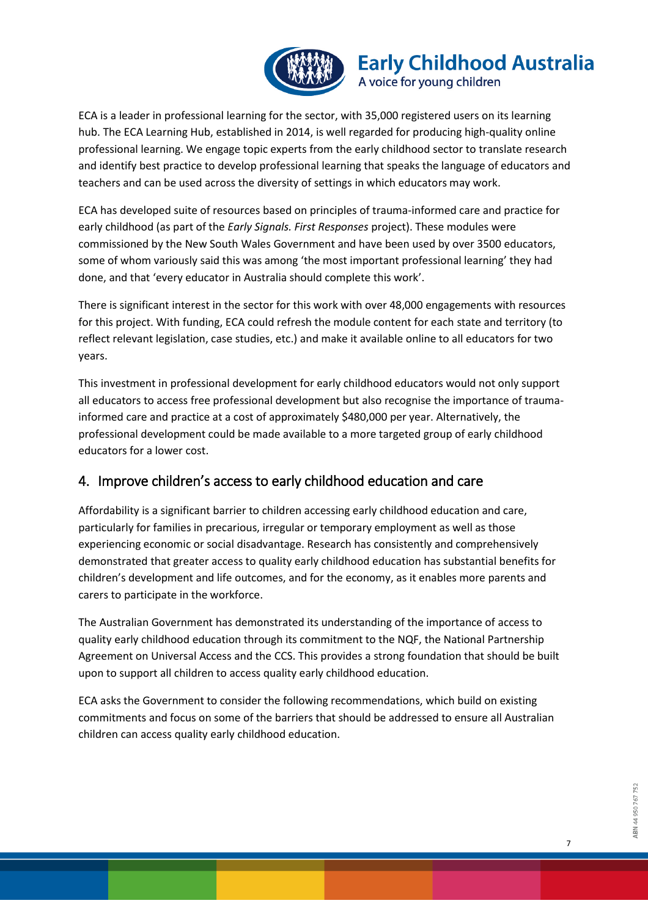

ECA is a leader in professional learning for the sector, with 35,000 registered users on its learning hub. The ECA Learning Hub, established in 2014, is well regarded for producing high-quality online professional learning. We engage topic experts from the early childhood sector to translate research and identify best practice to develop professional learning that speaks the language of educators and teachers and can be used across the diversity of settings in which educators may work.

ECA has developed suite of resources based on principles of trauma-informed care and practice for early childhood (as part of the *Early Signals. First Responses* project). These modules were commissioned by the New South Wales Government and have been used by over 3500 educators, some of whom variously said this was among 'the most important professional learning' they had done, and that 'every educator in Australia should complete this work'.

There is significant interest in the sector for this work with over 48,000 engagements with resources for this project. With funding, ECA could refresh the module content for each state and territory (to reflect relevant legislation, case studies, etc.) and make it available online to all educators for two years.

This investment in professional development for early childhood educators would not only support all educators to access free professional development but also recognise the importance of traumainformed care and practice at a cost of approximately \$480,000 per year. Alternatively, the professional development could be made available to a more targeted group of early childhood educators for a lower cost.

## 4. Improve children's access to early childhood education and care

Affordability is a significant barrier to children accessing early childhood education and care, particularly for families in precarious, irregular or temporary employment as well as those experiencing economic or social disadvantage. Research has consistently and comprehensively demonstrated that greater access to quality early childhood education has substantial benefits for children's development and life outcomes, and for the economy, as it enables more parents and carers to participate in the workforce.

The Australian Government has demonstrated its understanding of the importance of access to quality early childhood education through its commitment to the NQF, the National Partnership Agreement on Universal Access and the CCS. This provides a strong foundation that should be built upon to support all children to access quality early childhood education.

ECA asks the Government to consider the following recommendations, which build on existing commitments and focus on some of the barriers that should be addressed to ensure all Australian children can access quality early childhood education.

7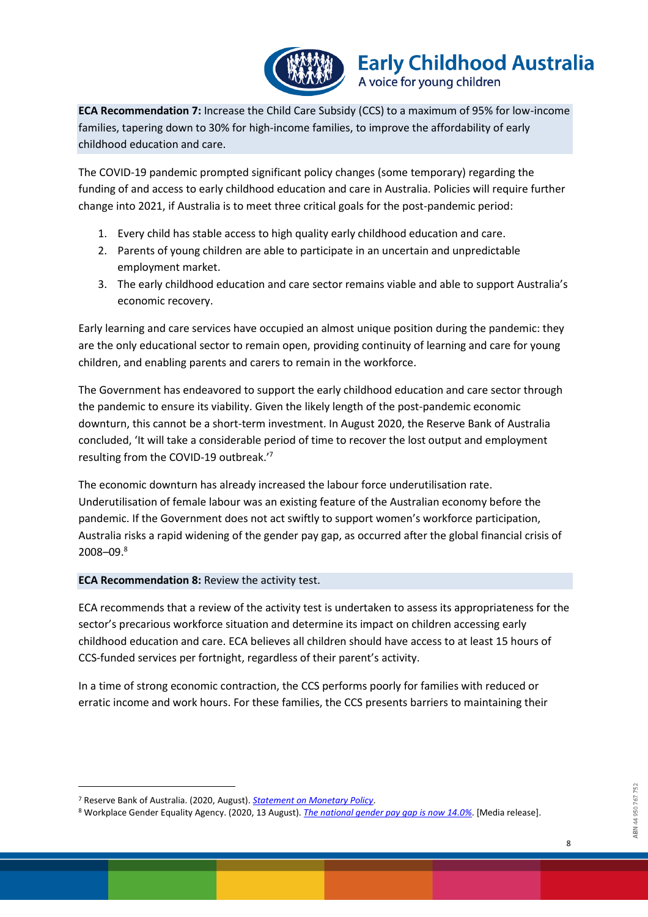

**ECA Recommendation 7:** Increase the Child Care Subsidy (CCS) to a maximum of 95% for low-income families, tapering down to 30% for high-income families, to improve the affordability of early childhood education and care.

The COVID-19 pandemic prompted significant policy changes (some temporary) regarding the funding of and access to early childhood education and care in Australia. Policies will require further change into 2021, if Australia is to meet three critical goals for the post-pandemic period:

- 1. Every child has stable access to high quality early childhood education and care.
- 2. Parents of young children are able to participate in an uncertain and unpredictable employment market.
- 3. The early childhood education and care sector remains viable and able to support Australia's economic recovery.

Early learning and care services have occupied an almost unique position during the pandemic: they are the only educational sector to remain open, providing continuity of learning and care for young children, and enabling parents and carers to remain in the workforce.

The Government has endeavored to support the early childhood education and care sector through the pandemic to ensure its viability. Given the likely length of the post-pandemic economic downturn, this cannot be a short-term investment. In August 2020, the Reserve Bank of Australia concluded, 'It will take a considerable period of time to recover the lost output and employment resulting from the COVID-19 outbreak.'<sup>7</sup>

The economic downturn has already increased the labour force underutilisation rate. Underutilisation of female labour was an existing feature of the Australian economy before the pandemic. If the Government does not act swiftly to support women's workforce participation, Australia risks a rapid widening of the gender pay gap, as occurred after the global financial crisis of 2008–09.<sup>8</sup>

#### **ECA Recommendation 8:** Review the activity test.

ECA recommends that a review of the activity test is undertaken to assess its appropriateness for the sector's precarious workforce situation and determine its impact on children accessing early childhood education and care. ECA believes all children should have access to at least 15 hours of CCS-funded services per fortnight, regardless of their parent's activity.

In a time of strong economic contraction, the CCS performs poorly for families with reduced or erratic income and work hours. For these families, the CCS presents barriers to maintaining their

<sup>7</sup> Reserve Bank of Australia. (2020, August). *[Statement on Monetary Policy](https://www.rba.gov.au/publications/smp/2020/aug/)*.

<sup>8</sup> Workplace Gender Equality Agency. (2020, 13 August). *[The national gender pay gap is now 14.0%](https://www.wgea.gov.au/newsroom/media-releases/the-national-gender-pay-gap-is-now-140)*. [Media release].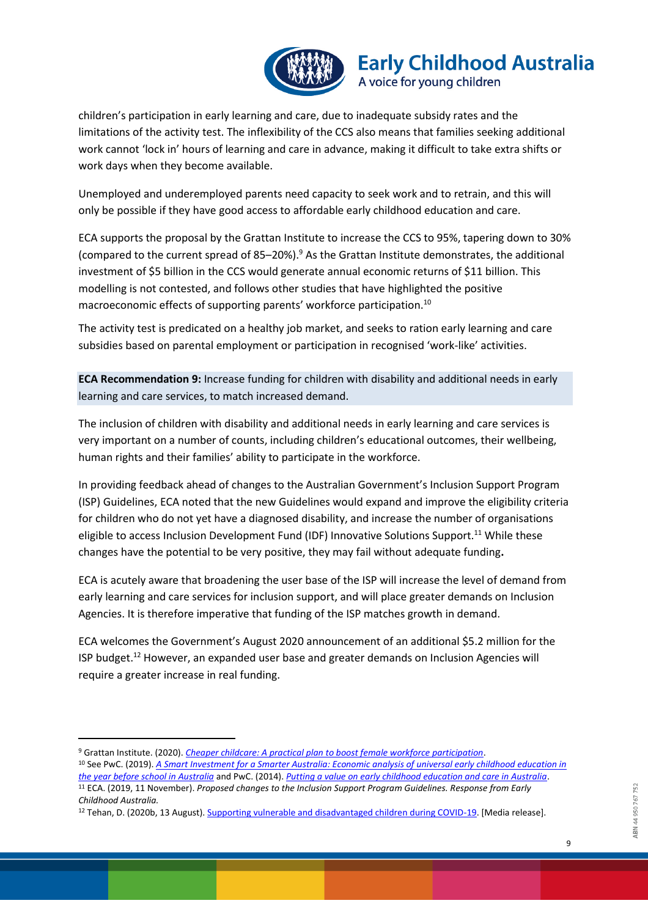

children's participation in early learning and care, due to inadequate subsidy rates and the limitations of the activity test. The inflexibility of the CCS also means that families seeking additional work cannot 'lock in' hours of learning and care in advance, making it difficult to take extra shifts or work days when they become available.

Unemployed and underemployed parents need capacity to seek work and to retrain, and this will only be possible if they have good access to affordable early childhood education and care.

ECA supports the proposal by the Grattan Institute to increase the CCS to 95%, tapering down to 30% (compared to the current spread of 85–20%).<sup>9</sup> As the Grattan Institute demonstrates, the additional investment of \$5 billion in the CCS would generate annual economic returns of \$11 billion. This modelling is not contested, and follows other studies that have highlighted the positive macroeconomic effects of supporting parents' workforce participation.<sup>10</sup>

The activity test is predicated on a healthy job market, and seeks to ration early learning and care subsidies based on parental employment or participation in recognised 'work-like' activities.

**ECA Recommendation 9:** Increase funding for children with disability and additional needs in early learning and care services, to match increased demand.

The inclusion of children with disability and additional needs in early learning and care services is very important on a number of counts, including children's educational outcomes, their wellbeing, human rights and their families' ability to participate in the workforce.

In providing feedback ahead of changes to the Australian Government's Inclusion Support Program (ISP) Guidelines, ECA noted that the new Guidelines would expand and improve the eligibility criteria for children who do not yet have a diagnosed disability, and increase the number of organisations eligible to access Inclusion Development Fund (IDF) Innovative Solutions Support.<sup>11</sup> While these changes have the potential to be very positive, they may fail without adequate funding**.** 

ECA is acutely aware that broadening the user base of the ISP will increase the level of demand from early learning and care services for inclusion support, and will place greater demands on Inclusion Agencies. It is therefore imperative that funding of the ISP matches growth in demand.

ECA welcomes the Government's August 2020 announcement of an additional \$5.2 million for the ISP budget.<sup>12</sup> However, an expanded user base and greater demands on Inclusion Agencies will require a greater increase in real funding.

<sup>9</sup> Grattan Institute. (2020). *[Cheaper childcare: A practical plan to boost female workforce participation](https://grattan.edu.au/report/cheaper-childcare/)*. <sup>10</sup> See PwC. (2019). *[A Smart Investment for a Smarter Australia: Economic analysis of universal early childhood education in](https://www.thefrontproject.org.au/images/downloads/ECO%20ANALYSIS%20Full%20Report.pdf)  [the year before school in Australia](https://www.thefrontproject.org.au/images/downloads/ECO%20ANALYSIS%20Full%20Report.pdf)* and PwC. (2014). *[Putting a value on early childhood education and care in Australia](https://www.pwc.com.au/pdf/putting-value-on-ecec.pdf)*. <sup>11</sup> ECA. (2019, 11 November). *Proposed changes to the Inclusion Support Program Guidelines. Response from Early Childhood Australia.*

<sup>&</sup>lt;sup>12</sup> Tehan, D. (2020b, 13 August)[. Supporting vulnerable and disadvantaged children during COVID-19.](https://ministers.dese.gov.au/tehan/supporting-vulnerable-and-disadvantaged-children-during-covid-19) [Media release].